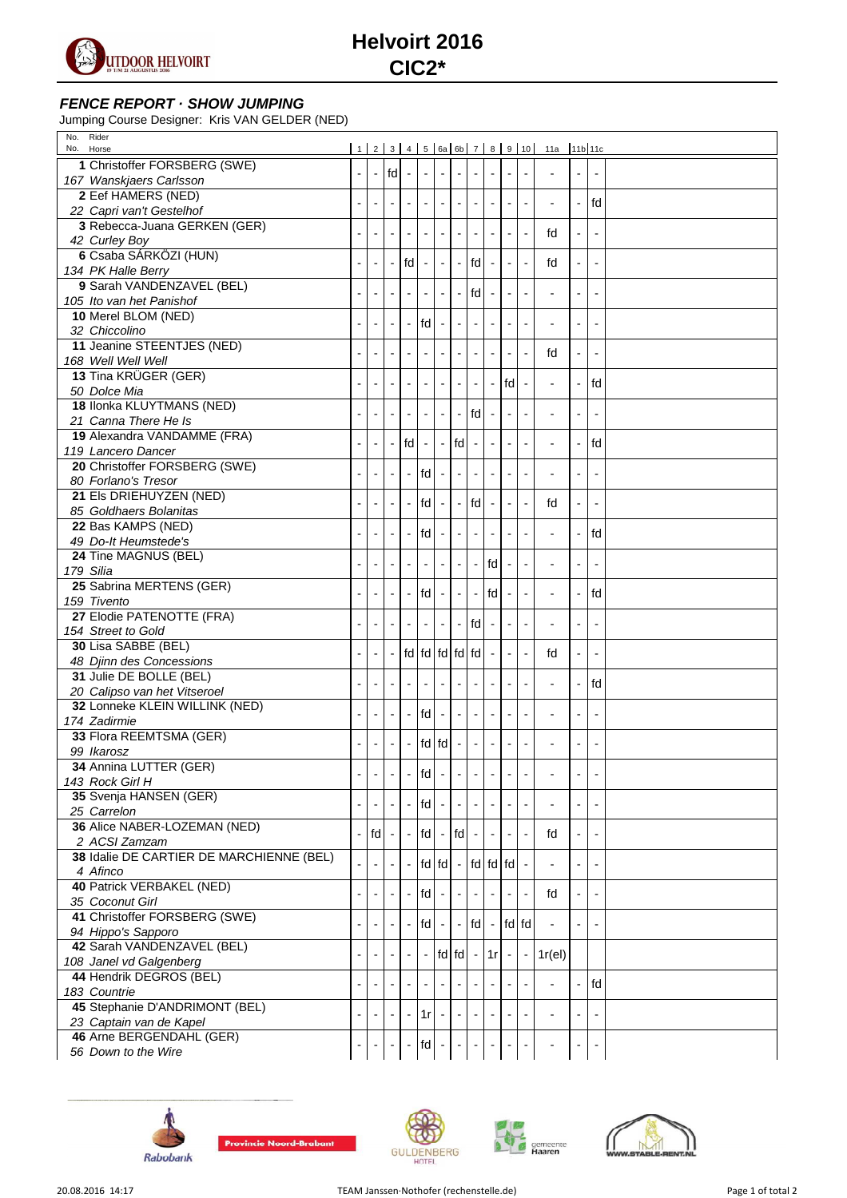

## **FENCE REPORT · SHOW JUMPING**

Jumping Course Designer: Kris VAN GELDER (NED)

| No. Rider<br>No. Horse                   |                          |    |                          |                          |                          |                          |                             |                          |                             |                          |                          | 1 2 3 4 5 6a 6b 7 8 9 10  11a  11b 11c |                          |    |  |
|------------------------------------------|--------------------------|----|--------------------------|--------------------------|--------------------------|--------------------------|-----------------------------|--------------------------|-----------------------------|--------------------------|--------------------------|----------------------------------------|--------------------------|----|--|
| 1 Christoffer FORSBERG (SWE)             |                          |    |                          |                          |                          |                          |                             |                          |                             |                          |                          |                                        |                          |    |  |
| 167 Wanskjaers Carlsson                  | $\overline{\phantom{a}}$ |    | $-$ fdl $-$              |                          | $\sim$                   |                          | $\overline{\phantom{a}}$    | $\overline{\phantom{a}}$ | $\blacksquare$              | $\overline{\phantom{a}}$ | $\overline{\phantom{a}}$ |                                        | $\overline{\phantom{a}}$ |    |  |
| 2 Eef HAMERS (NED)                       |                          |    |                          |                          |                          |                          |                             |                          |                             |                          |                          |                                        |                          |    |  |
| 22 Capri van't Gestelhof                 |                          |    |                          |                          | $\sim$                   |                          | $\overline{\phantom{a}}$    | $\overline{\phantom{a}}$ | $\overline{\phantom{a}}$    | $\blacksquare$           | $\overline{\phantom{a}}$ |                                        | $\blacksquare$           | fd |  |
| 3 Rebecca-Juana GERKEN (GER)             |                          |    |                          |                          |                          |                          |                             |                          |                             |                          |                          |                                        |                          |    |  |
| 42 Curley Boy                            | $\overline{\phantom{a}}$ |    | $\overline{\phantom{a}}$ | $\overline{\phantom{a}}$ | $\sim$                   | $\overline{\phantom{a}}$ | $\blacksquare$              | $\overline{\phantom{a}}$ | $\blacksquare$              | $\overline{\phantom{a}}$ | $\blacksquare$           | fd                                     | $\overline{\phantom{a}}$ |    |  |
| 6 Csaba SÁRKÖZI (HUN)                    |                          |    |                          |                          |                          |                          |                             |                          |                             |                          |                          |                                        |                          |    |  |
| 134 PK Halle Berry                       |                          |    |                          | $\mathsf{fd}$ -          |                          |                          | $\sim$                      | fd                       | $\overline{\phantom{a}}$    |                          | $\overline{\phantom{a}}$ | fd                                     |                          |    |  |
| 9 Sarah VANDENZAVEL (BEL)                |                          |    |                          |                          |                          |                          |                             |                          |                             |                          |                          |                                        |                          |    |  |
| 105 Ito van het Panishof                 |                          |    |                          |                          |                          |                          | $\sim$                      | fd                       | $\sim$                      | $\overline{\phantom{a}}$ | $\overline{\phantom{a}}$ | $\overline{a}$                         |                          |    |  |
| 10 Merel BLOM (NED)                      |                          |    |                          |                          |                          |                          |                             |                          |                             |                          |                          |                                        |                          |    |  |
| 32 Chiccolino                            |                          |    |                          |                          | fd                       |                          |                             |                          |                             |                          | $\overline{\phantom{a}}$ |                                        |                          |    |  |
| 11 Jeanine STEENTJES (NED)               |                          |    |                          |                          |                          |                          |                             |                          |                             |                          |                          |                                        |                          |    |  |
| 168 Well Well Well                       |                          |    |                          |                          | $\overline{\phantom{a}}$ |                          | $\mathbf{L}$                | $\overline{\phantom{a}}$ | $\mathcal{L}_{\mathcal{A}}$ | $\overline{\phantom{a}}$ | $\mathbb{L}$             | fd                                     | $\overline{\phantom{a}}$ |    |  |
| 13 Tina KRÜGER (GER)                     |                          |    |                          |                          |                          |                          |                             |                          |                             |                          |                          |                                        |                          |    |  |
| 50 Dolce Mia                             |                          |    |                          |                          |                          |                          |                             | $\Box$                   | $\overline{\phantom{a}}$    | I <sub>fd</sub>          | $\blacksquare$           |                                        |                          | fd |  |
| 18 Ilonka KLUYTMANS (NED)                |                          |    |                          |                          |                          |                          |                             |                          |                             |                          |                          |                                        |                          |    |  |
| 21 Canna There He Is                     |                          |    |                          |                          | $\overline{\phantom{a}}$ |                          | $\sim$                      | fd                       |                             |                          | $\blacksquare$           |                                        |                          |    |  |
| 19 Alexandra VANDAMME (FRA)              |                          |    |                          |                          |                          |                          |                             |                          |                             |                          |                          |                                        |                          |    |  |
| 119 Lancero Dancer                       |                          |    |                          | fd                       | $\mathbb{Z}$             |                          | fd                          |                          |                             |                          | $\overline{\phantom{a}}$ |                                        |                          | fd |  |
| 20 Christoffer FORSBERG (SWE)            |                          |    |                          |                          |                          |                          |                             |                          |                             |                          |                          |                                        |                          |    |  |
| 80 Forlano's Tresor                      |                          |    |                          | $\overline{\phantom{a}}$ | fd                       |                          | $\overline{\phantom{a}}$    |                          | $\overline{\phantom{a}}$    |                          | $\blacksquare$           |                                        | $\overline{\phantom{a}}$ |    |  |
| 21 Els DRIEHUYZEN (NED)                  |                          |    |                          |                          |                          |                          |                             |                          |                             |                          |                          |                                        |                          |    |  |
| 85 Goldhaers Bolanitas                   |                          |    |                          |                          | fd                       |                          | $\overline{\phantom{a}}$    | fd                       | $\overline{\phantom{a}}$    |                          | $\Box$                   | fd                                     | $\overline{\phantom{a}}$ |    |  |
| 22 Bas KAMPS (NED)                       |                          |    |                          |                          |                          |                          |                             |                          |                             |                          |                          |                                        |                          |    |  |
| 49 Do-It Heumstede's                     |                          |    |                          |                          | fd                       |                          |                             |                          |                             |                          |                          | $\overline{a}$                         |                          | fd |  |
| 24 Tine MAGNUS (BEL)                     |                          |    |                          |                          |                          |                          |                             |                          |                             |                          |                          |                                        |                          |    |  |
| 179 Silia                                |                          |    |                          |                          | $\overline{\phantom{a}}$ |                          | $\overline{\phantom{a}}$    | $\overline{\phantom{a}}$ | fd                          |                          | $\overline{\phantom{a}}$ | $\overline{\phantom{a}}$               | $\overline{\phantom{a}}$ |    |  |
| 25 Sabrina MERTENS (GER)                 |                          |    |                          |                          |                          |                          |                             |                          |                             |                          |                          |                                        |                          |    |  |
| 159 Tivento                              |                          |    |                          |                          | $\mathsf{fd}$ -          |                          | $\sim$                      | $\overline{\phantom{a}}$ | fd                          | $\overline{\phantom{a}}$ | $\overline{\phantom{a}}$ |                                        |                          | fd |  |
| 27 Elodie PATENOTTE (FRA)                |                          |    |                          |                          |                          |                          |                             |                          |                             |                          |                          |                                        |                          |    |  |
| 154 Street to Gold                       |                          |    |                          |                          | $\overline{\phantom{a}}$ |                          | $\mathcal{L}_{\mathcal{A}}$ | fd                       | $\overline{\phantom{a}}$    | $\overline{\phantom{a}}$ | $\overline{\phantom{a}}$ | $\overline{\phantom{a}}$               | $\overline{\phantom{a}}$ |    |  |
| 30 Lisa SABBE (BEL)                      |                          |    |                          |                          |                          |                          |                             |                          |                             |                          |                          |                                        |                          |    |  |
| 48 Djinn des Concessions                 |                          |    |                          |                          | fd fd fd fd fd           |                          |                             |                          |                             |                          | $\overline{\phantom{a}}$ | fd                                     |                          |    |  |
| 31 Julie DE BOLLE (BEL)                  |                          |    |                          |                          |                          |                          |                             |                          |                             |                          |                          |                                        |                          |    |  |
| 20 Calipso van het Vitseroel             |                          |    |                          |                          | $\overline{\phantom{a}}$ |                          | $\overline{\phantom{a}}$    | $\overline{\phantom{a}}$ | $\overline{\phantom{a}}$    |                          | $\overline{\phantom{a}}$ | $\overline{\phantom{a}}$               | $\blacksquare$           | fd |  |
| 32 Lonneke KLEIN WILLINK (NED)           |                          |    |                          |                          |                          |                          |                             |                          |                             |                          |                          |                                        |                          |    |  |
| 174 Zadirmie                             |                          |    |                          |                          | fd                       |                          | $\overline{\phantom{a}}$    |                          |                             |                          |                          |                                        |                          |    |  |
| 33 Flora REEMTSMA (GER)                  |                          |    |                          |                          |                          |                          |                             |                          |                             |                          |                          |                                        |                          |    |  |
| 99 Ikarosz                               |                          |    |                          | $\overline{\phantom{a}}$ | fd fd                    |                          | $\blacksquare$              | $\overline{\phantom{a}}$ | $\blacksquare$              | $\overline{\phantom{a}}$ | $\overline{\phantom{a}}$ |                                        |                          |    |  |
| 34 Annina LUTTER (GER)                   |                          |    |                          |                          |                          |                          |                             |                          |                             |                          |                          |                                        |                          |    |  |
| 143 Rock Girl H                          |                          |    |                          |                          | fd                       |                          |                             |                          |                             |                          |                          |                                        |                          |    |  |
| 35 Svenja HANSEN (GER)                   |                          |    |                          |                          |                          |                          |                             |                          |                             |                          |                          |                                        |                          |    |  |
| 25 Carrelon                              |                          |    |                          | $\overline{\phantom{a}}$ | fd                       |                          | $\overline{\phantom{a}}$    | $\overline{\phantom{a}}$ | $\blacksquare$              |                          | $\overline{\phantom{a}}$ |                                        |                          |    |  |
| 36 Alice NABER-LOZEMAN (NED)             |                          |    |                          |                          |                          |                          |                             |                          |                             |                          |                          |                                        |                          |    |  |
| 2 ACSI Zamzam                            |                          | fd |                          |                          | fd                       |                          | fd                          |                          |                             |                          |                          | fd                                     |                          |    |  |
| 38 Idalie DE CARTIER DE MARCHIENNE (BEL) |                          |    |                          |                          | fd fd -                  |                          |                             |                          |                             |                          |                          |                                        |                          |    |  |
| 4 Afinco                                 |                          |    |                          | $\overline{\phantom{a}}$ |                          |                          |                             |                          |                             | fd fd fd                 |                          |                                        |                          |    |  |
| <b>40 Patrick VERBAKEL (NED)</b>         |                          |    |                          |                          | fd                       |                          |                             |                          |                             |                          |                          |                                        |                          |    |  |
| 35 Coconut Girl                          |                          |    |                          |                          |                          |                          |                             |                          |                             |                          | $\overline{\phantom{a}}$ | fd                                     |                          |    |  |
| 41 Christoffer FORSBERG (SWE)            |                          |    |                          |                          |                          |                          |                             |                          |                             |                          |                          |                                        |                          |    |  |
| 94 Hippo's Sapporo                       |                          |    |                          | $\overline{\phantom{a}}$ | fd                       |                          | $\overline{\phantom{a}}$    | fd                       |                             | $-$ fd fd                |                          |                                        | $\overline{\phantom{a}}$ |    |  |
| 42 Sarah VANDENZAVEL (BEL)               |                          |    |                          |                          |                          |                          | $fd$ $fd$ -                 |                          | 1r                          |                          |                          |                                        |                          |    |  |
| 108 Janel vd Galgenberg                  |                          |    |                          |                          |                          |                          |                             |                          |                             |                          | $\overline{\phantom{a}}$ | $1r$ (el)                              |                          |    |  |
| 44 Hendrik DEGROS (BEL)                  | ÷,                       |    |                          |                          |                          |                          |                             |                          |                             |                          | $\overline{\phantom{a}}$ | $\overline{\phantom{a}}$               | $\overline{\phantom{a}}$ | fd |  |
| 183 Countrie                             |                          |    |                          |                          |                          |                          |                             |                          |                             |                          |                          |                                        |                          |    |  |
| 45 Stephanie D'ANDRIMONT (BEL)           |                          |    |                          |                          | 1r                       |                          |                             |                          |                             |                          | $\overline{\phantom{a}}$ |                                        |                          |    |  |
| 23 Captain van de Kapel                  |                          |    |                          |                          |                          |                          |                             |                          |                             |                          |                          |                                        |                          |    |  |
| 46 Arne BERGENDAHL (GER)                 |                          |    |                          |                          | fd                       |                          |                             |                          |                             |                          |                          |                                        |                          |    |  |
| 56 Down to the Wire                      |                          |    |                          |                          |                          |                          |                             |                          |                             |                          |                          |                                        |                          |    |  |